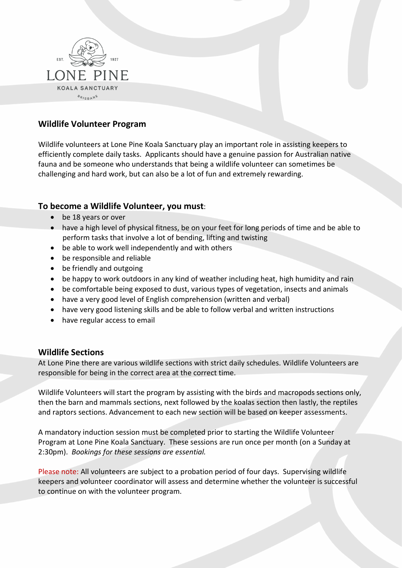

# **Wildlife Volunteer Program**

Wildlife volunteers at Lone Pine Koala Sanctuary play an important role in assisting keepers to efficiently complete daily tasks. Applicants should have a genuine passion for Australian native fauna and be someone who understands that being a wildlife volunteer can sometimes be challenging and hard work, but can also be a lot of fun and extremely rewarding.

## **To become a Wildlife Volunteer, you must**:

- be 18 years or over
- have a high level of physical fitness, be on your feet for long periods of time and be able to perform tasks that involve a lot of bending, lifting and twisting
- be able to work well independently and with others
- be responsible and reliable
- be friendly and outgoing
- be happy to work outdoors in any kind of weather including heat, high humidity and rain
- be comfortable being exposed to dust, various types of vegetation, insects and animals
- have a very good level of English comprehension (written and verbal)
- have very good listening skills and be able to follow verbal and written instructions
- have regular access to email

## **Wildlife Sections**

At Lone Pine there are various wildlife sections with strict daily schedules. Wildlife Volunteers are responsible for being in the correct area at the correct time.

Wildlife Volunteers will start the program by assisting with the birds and macropods sections only, then the barn and mammals sections, next followed by the koalas section then lastly, the reptiles and raptors sections. Advancement to each new section will be based on keeper assessments.

A mandatory induction session must be completed prior to starting the Wildlife Volunteer Program at Lone Pine Koala Sanctuary. These sessions are run once per month (on a Sunday at 2:30pm). *Bookings for these sessions are essential.*

Please note: All volunteers are subject to a probation period of four days. Supervising wildlife keepers and volunteer coordinator will assess and determine whether the volunteer is successful to continue on with the volunteer program.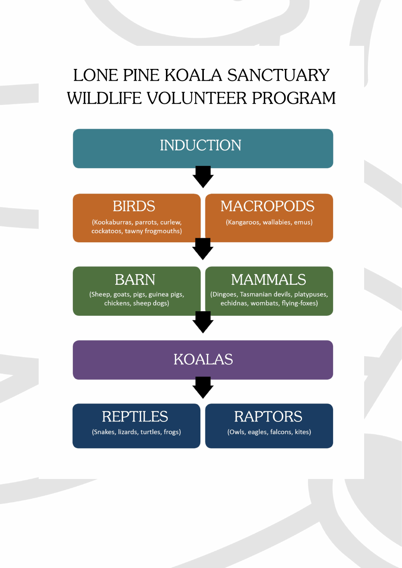# LONE PINE KOALA SANCTUARY WILDLIFE VOLUNTEER PROGRAM

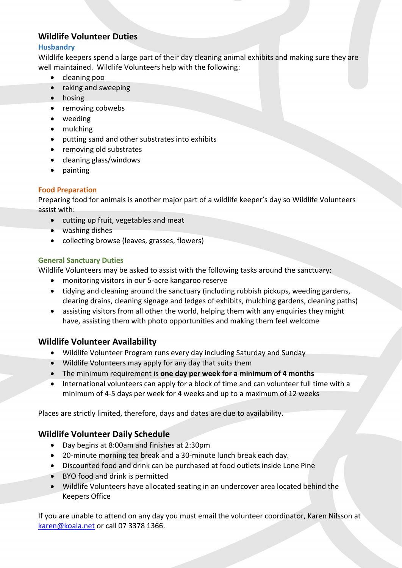# **Wildlife Volunteer Duties**

## **Husbandry**

Wildlife keepers spend a large part of their day cleaning animal exhibits and making sure they are well maintained. Wildlife Volunteers help with the following:

- cleaning poo
- raking and sweeping
- hosing
- removing cobwebs
- weeding
- mulching
- putting sand and other substrates into exhibits
- removing old substrates
- cleaning glass/windows
- painting

## **Food Preparation**

Preparing food for animals is another major part of a wildlife keeper's day so Wildlife Volunteers assist with:

- cutting up fruit, vegetables and meat
- washing dishes
- collecting browse (leaves, grasses, flowers)

## **General Sanctuary Duties**

Wildlife Volunteers may be asked to assist with the following tasks around the sanctuary:

- monitoring visitors in our 5-acre kangaroo reserve
- tidying and cleaning around the sanctuary (including rubbish pickups, weeding gardens, clearing drains, cleaning signage and ledges of exhibits, mulching gardens, cleaning paths)
- assisting visitors from all other the world, helping them with any enquiries they might have, assisting them with photo opportunities and making them feel welcome

## **Wildlife Volunteer Availability**

- Wildlife Volunteer Program runs every day including Saturday and Sunday
- Wildlife Volunteers may apply for any day that suits them
- The minimum requirement is **one day per week for a minimum of 4 months**
- International volunteers can apply for a block of time and can volunteer full time with a minimum of 4-5 days per week for 4 weeks and up to a maximum of 12 weeks

Places are strictly limited, therefore, days and dates are due to availability.

# **Wildlife Volunteer Daily Schedule**

- Day begins at 8:00am and finishes at 2:30pm
- 20-minute morning tea break and a 30-minute lunch break each day.
- Discounted food and drink can be purchased at food outlets inside Lone Pine
- BYO food and drink is permitted
- Wildlife Volunteers have allocated seating in an undercover area located behind the Keepers Office

If you are unable to attend on any day you must email the volunteer coordinator, Karen Nilsson at [karen@koala.net](mailto:karen@koala.net) or call 07 3378 1366.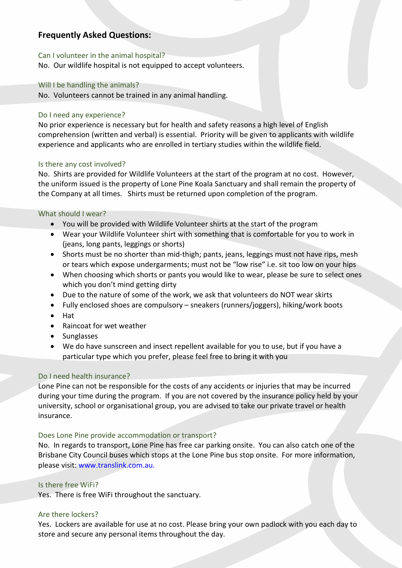# **Frequently Asked Questions:**

#### Can I volunteer in the animal hospital?

No. Our wildlife hospital is not equipped to accept volunteers.

#### Will I be handling the animals?

No. Volunteers cannot be trained in any animal handling.

#### Do I need any experience?

No prior experience is necessary but for health and safety reasons a high level of English comprehension (written and verbal) is essential. Priority will be given to applicants with wildlife experience and applicants who are enrolled in tertiary studies within the wildlife field.

#### Is there any cost involved?

No. Shirts are provided for Wildlife Volunteers at the start of the program at no cost. However, the uniform issued is the property of Lone Pine Koala Sanctuary and shall remain the property of the Company at all times. Shirts must be returned upon completion of the program.

#### What should I wear?

- You will be provided with Wildlife Volunteer shirts at the start of the program
- Wear your Wildlife Volunteer shirt with something that is comfortable for you to work in (jeans, long pants, leggings or shorts)
- Shorts must be no shorter than mid-thigh; pants, jeans, leggings must not have rips, mesh or tears which expose undergarments; must not be "low rise" i.e. sit too low on your hips
- When choosing which shorts or pants you would like to wear, please be sure to select ones which you don't mind getting dirty
- Due to the nature of some of the work, we ask that volunteers do NOT wear skirts
- Fully enclosed shoes are compulsory sneakers (runners/joggers), hiking/work boots
- Hat
- Raincoat for wet weather
- Sunglasses
- We do have sunscreen and insect repellent available for you to use, but if you have a particular type which you prefer, please feel free to bring it with you

## Do I need health insurance?

Lone Pine can not be responsible for the costs of any accidents or injuries that may be incurred during your time during the program. If you are not covered by the insurance policy held by your university, school or organisational group, you are advised to take our private travel or health insurance.

## Does Lone Pine provide accommodation or transport?

No. In regards to transport, Lone Pine has free car parking onsite. You can also catch one of the Brisbane City Council buses which stops at the Lone Pine bus stop onsite. For more information, please visit: www.translink.com.au.

## Is there free WiFi?

Yes. There is free WiFi throughout the sanctuary.

## Are there lockers?

Yes. Lockers are available for use at no cost. Please bring your own padlock with you each day to store and secure any personal items throughout the day.